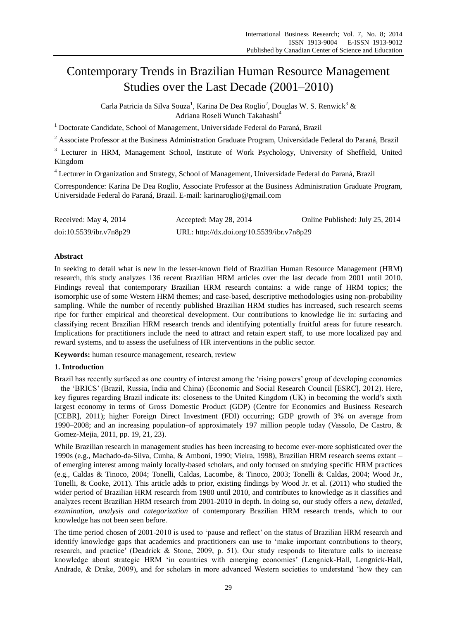# Contemporary Trends in Brazilian Human Resource Management Studies over the Last Decade (2001–2010)

Carla Patricia da Silva Souza<sup>1</sup>, Karina De Dea Roglio<sup>2</sup>, Douglas W. S. Renwick<sup>3</sup> & Adriana Roseli Wunch Takahashi<sup>4</sup>

<sup>1</sup> Doctorate Candidate, School of Management, Universidade Federal do Paraná, Brazil

<sup>2</sup> Associate Professor at the Business Administration Graduate Program, Universidade Federal do Paraná, Brazil

<sup>3</sup> Lecturer in HRM, Management School, Institute of Work Psychology, University of Sheffield, United Kingdom

<sup>4</sup> Lecturer in Organization and Strategy, School of Management, Universidade Federal do Paraná, Brazil

Correspondence: Karina De Dea Roglio, Associate Professor at the Business Administration Graduate Program, Universidade Federal do Paraná, Brazil. E-mail: karinaroglio@gmail.com

| Received: May 4, 2014   | Accepted: May 28, 2014                     | Online Published: July 25, 2014 |
|-------------------------|--------------------------------------------|---------------------------------|
| doi:10.5539/ibr.v7n8p29 | URL: http://dx.doi.org/10.5539/ibr.v7n8p29 |                                 |

# **Abstract**

In seeking to detail what is new in the lesser-known field of Brazilian Human Resource Management (HRM) research, this study analyzes 136 recent Brazilian HRM articles over the last decade from 2001 until 2010. Findings reveal that contemporary Brazilian HRM research contains: a wide range of HRM topics; the isomorphic use of some Western HRM themes; and case-based, descriptive methodologies using non-probability sampling. While the number of recently published Brazilian HRM studies has increased, such research seems ripe for further empirical and theoretical development. Our contributions to knowledge lie in: surfacing and classifying recent Brazilian HRM research trends and identifying potentially fruitful areas for future research. Implications for practitioners include the need to attract and retain expert staff, to use more localized pay and reward systems, and to assess the usefulness of HR interventions in the public sector.

**Keywords:** human resource management, research, review

## **1. Introduction**

Brazil has recently surfaced as one country of interest among the "rising powers" group of developing economies – the "BRICS" (Brazil, Russia, India and China) (Economic and Social Research Council [ESRC], 2012). Here, key figures regarding Brazil indicate its: closeness to the United Kingdom (UK) in becoming the world"s sixth largest economy in terms of Gross Domestic Product (GDP) (Centre for Economics and Business Research [CEBR], 2011); higher Foreign Direct Investment (FDI) occurring; GDP growth of 3% on average from 1990–2008; and an increasing population–of approximately 197 million people today (Vassolo, De Castro, & Gomez-Mejia, 2011, pp. 19, 21, 23).

While Brazilian research in management studies has been increasing to become ever-more sophisticated over the 1990s (e.g., Machado-da-Silva, Cunha, & Amboni, 1990; Vieira, 1998), Brazilian HRM research seems extant – of emerging interest among mainly locally-based scholars, and only focused on studying specific HRM practices (e.g., Caldas & Tinoco, 2004; Tonelli, Caldas, Lacombe, & Tinoco, 2003; Tonelli & Caldas, 2004; Wood Jr., Tonelli, & Cooke, 2011). This article adds to prior, existing findings by Wood Jr. et al. (2011) who studied the wider period of Brazilian HRM research from 1980 until 2010, and contributes to knowledge as it classifies and analyzes recent Brazilian HRM research from 2001-2010 in depth. In doing so, our study offers a *new, detailed, examination, analysis and categorization* of contemporary Brazilian HRM research trends, which to our knowledge has not been seen before.

The time period chosen of 2001-2010 is used to "pause and reflect" on the status of Brazilian HRM research and identify knowledge gaps that academics and practitioners can use to "make important contributions to theory, research, and practice" (Deadrick & Stone, 2009, p. 51). Our study responds to literature calls to increase knowledge about strategic HRM "in countries with emerging economies" (Lengnick-Hall, Lengnick-Hall, Andrade, & Drake, 2009), and for scholars in more advanced Western societies to understand "how they can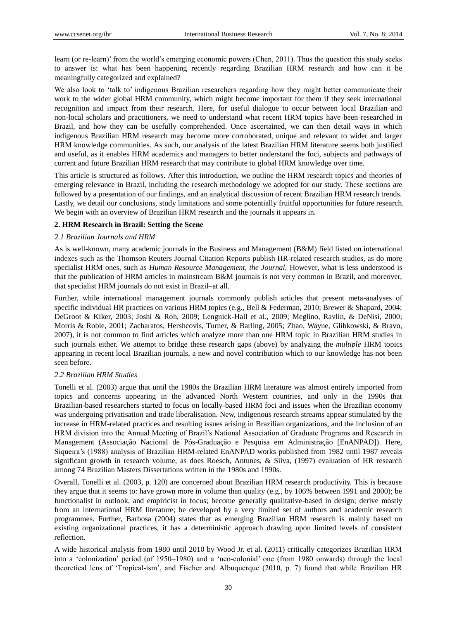learn (or re-learn)' from the world's emerging economic powers (Chen, 2011). Thus the question this study seeks to answer is: what has been happening recently regarding Brazilian HRM research and how can it be meaningfully categorized and explained?

We also look to 'talk to' indigenous Brazilian researchers regarding how they might better communicate their work to the wider global HRM community, which might become important for them if they seek international recognition and impact from their research. Here, for useful dialogue to occur between local Brazilian and non-local scholars and practitioners, we need to understand what recent HRM topics have been researched in Brazil, and how they can be usefully comprehended. Once ascertained, we can then detail ways in which indigenous Brazilian HRM research may become more corroborated, unique and relevant to wider and larger HRM knowledge communities. As such, our analysis of the latest Brazilian HRM literature seems both justified and useful, as it enables HRM academics and managers to better understand the foci, subjects and pathways of current and future Brazilian HRM research that may contribute to global HRM knowledge over time.

This article is structured as follows. After this introduction, we outline the HRM research topics and theories of emerging relevance in Brazil, including the research methodology we adopted for our study. These sections are followed by a presentation of our findings, and an analytical discussion of recent Brazilian HRM research trends. Lastly, we detail our conclusions, study limitations and some potentially fruitful opportunities for future research. We begin with an overview of Brazilian HRM research and the journals it appears in.

## **2. HRM Research in Brazil: Setting the Scene**

## *2.1 Brazilian Journals and HRM*

As is well-known, many academic journals in the Business and Management (B&M) field listed on international indexes such as the Thomson Reuters Journal Citation Reports publish HR-related research studies, as do more specialist HRM ones, such as *Human Resource Management, the Journal*. However, what is less understood is that the publication of HRM articles in mainstream B&M journals is not very common in Brazil, and moreover, that specialist HRM journals do not exist in Brazil–at all.

Further, while international management journals commonly publish articles that present meta-analyses of specific individual HR practices on various HRM topics (e.g., Bell & Federman, 2010; Brewer & Shapard, 2004; DeGroot & Kiker, 2003; Joshi & Roh, 2009; Lengnick-Hall et al., 2009; Meglino, Ravlin, & DeNisi, 2000; Morris & Robie, 2001; Zacharatos, Hershcovis, Turner, & Barling, 2005; Zhao, Wayne, Glibkowski, & Bravo, 2007), it is not common to find articles which analyze more than one HRM topic in Brazilian HRM studies in such journals either. We attempt to bridge these research gaps (above) by analyzing the *multiple* HRM topics appearing in recent local Brazilian journals, a new and novel contribution which to our knowledge has not been seen before.

## *2.2 Brazilian HRM Studies*

Tonelli et al. (2003) argue that until the 1980s the Brazilian HRM literature was almost entirely imported from topics and concerns appearing in the advanced North Western countries, and only in the 1990s that Brazilian-based researchers started to focus on locally-based HRM foci and issues when the Brazilian economy was undergoing privatisation and trade liberalisation. New, indigenous research streams appear stimulated by the increase in HRM-related practices and resulting issues arising in Brazilian organizations, and the inclusion of an HRM division into the Annual Meeting of Brazil"s National Association of Graduate Programs and Research in Management (Associação Nacional de Pós-Graduação e Pesquisa em Administração [EnANPAD]). Here, Siqueira"s (1988) analysis of Brazilian HRM-related EnANPAD works published from 1982 until 1987 reveals significant growth in research volume, as does Roesch, Antunes, & Silva, (1997) evaluation of HR research among 74 Brazilian Masters Dissertations written in the 1980s and 1990s.

Overall, Tonelli et al. (2003, p. 120) are concerned about Brazilian HRM research productivity. This is because they argue that it seems to: have grown more in volume than quality (e.g., by 106% between 1991 and 2000); be functionalist in outlook, and empiricist in focus; become generally qualitative-based in design; derive mostly from an international HRM literature; be developed by a very limited set of authors and academic research programmes. Further, Barbosa (2004) states that as emerging Brazilian HRM research is mainly based on existing organizational practices, it has a deterministic approach drawing upon limited levels of consistent reflection.

A wide historical analysis from 1980 until 2010 by Wood Jr. et al. (2011) critically categorizes Brazilian HRM into a "colonization" period (of 1950–1980) and a "neo-colonial" one (from 1980 onwards) through the local theoretical lens of "Tropical-ism", and Fischer and Albuquerque (2010, p. 7) found that while Brazilian HR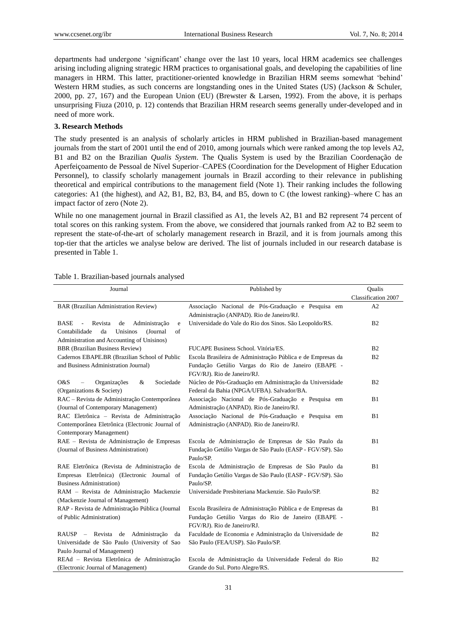departments had undergone "significant" change over the last 10 years, local HRM academics see challenges arising including aligning strategic HRM practices to organisational goals, and developing the capabilities of line managers in HRM. This latter, practitioner-oriented knowledge in Brazilian HRM seems somewhat "behind" Western HRM studies, as such concerns are longstanding ones in the United States (US) (Jackson & Schuler, 2000, pp. 27, 167) and the European Union (EU) (Brewster & Larsen, 1992). From the above, it is perhaps unsurprising Fiuza (2010, p. 12) contends that Brazilian HRM research seems generally under-developed and in need of more work.

## **3. Research Methods**

The study presented is an analysis of scholarly articles in HRM published in Brazilian-based management journals from the start of 2001 until the end of 2010, among journals which were ranked among the top levels A2, B1 and B2 on the Brazilian *Qualis System*. The Qualis System is used by the Brazilian Coordenação de Aperfei coamento de Pessoal de Nível Superior–CAPES (Coordination for the Development of Higher Education Personnel), to classify scholarly management journals in Brazil according to their relevance in publishing theoretical and empirical contributions to the management field (Note 1). Their ranking includes the following categories: A1 (the highest), and A2, B1, B2, B3, B4, and B5, down to C (the lowest ranking)–where C has an impact factor of zero (Note 2).

While no one management journal in Brazil classified as A1, the levels A2, B1 and B2 represent 74 percent of total scores on this ranking system. From the above, we considered that journals ranked from A2 to B2 seem to represent the state-of-the-art of scholarly management research in Brazil, and it is from journals among this top-tier that the articles we analyse below are derived. The list of journals included in our research database is presented in Table 1.

| Journal                                                                  | Published by                                                | Qualis              |
|--------------------------------------------------------------------------|-------------------------------------------------------------|---------------------|
|                                                                          |                                                             | Classification 2007 |
| <b>BAR</b> (Brazilian Administration Review)                             | Associação Nacional de Pós-Graduação e Pesquisa em          | A2                  |
|                                                                          | Administra ção (ANPAD). Rio de Janeiro/RJ.                  |                     |
| BASE<br>Revista<br>de<br>Administra ção<br>$\overline{\phantom{a}}$<br>e | Universidade do Vale do Rio dos Sinos. São Leopoldo/RS.     | B <sub>2</sub>      |
| Contabilidade<br>da<br>Unisinos<br>(Journal<br>of                        |                                                             |                     |
| Administration and Accounting of Unisinos)                               |                                                             |                     |
| <b>BBR</b> (Brazilian Business Review)                                   | FUCAPE Business School. Vit ória/ES.                        | B <sub>2</sub>      |
| Cadernos EBAPE.BR (Brazilian School of Public                            | Escola Brasileira de Administração Pública e de Empresas da | B <sub>2</sub>      |
| and Business Administration Journal)                                     | Fundação Getúlio Vargas do Rio de Janeiro (EBAPE -          |                     |
|                                                                          | FGV/RJ). Rio de Janeiro/RJ.                                 |                     |
| Organiza ções<br>Sociedade<br>O&S<br>&<br>$\qquad \qquad -$              | Núcleo de Pós-Gradua ção em Administra ção da Universidade  | B <sub>2</sub>      |
| (Organizations & Society)                                                | Federal da Bahia (NPGA/UFBA). Salvador/BA.                  |                     |
| RAC – Revista de Administra ção Contempor ânea                           | Associação Nacional de Pós-Graduação e Pesquisa em          | B1                  |
| (Journal of Contemporary Management)                                     | Administra ção (ANPAD). Rio de Janeiro/RJ.                  |                     |
| RAC Eletrônica - Revista de Administração                                | Associação Nacional de Pós-Graduação e Pesquisa em          | B1                  |
| Contempor ânea Eletr ônica (Electronic Journal of                        | Administra ção (ANPAD). Rio de Janeiro/RJ.                  |                     |
| Contemporary Management)                                                 |                                                             |                     |
| RAE - Revista de Administração de Empresas                               | Escola de Administração de Empresas de São Paulo da         | B1                  |
| (Journal of Business Administration)                                     | Fundação Get úlio Vargas de São Paulo (EASP - FGV/SP). São  |                     |
|                                                                          | Paulo/SP.                                                   |                     |
| RAE Eletrônica (Revista de Administração de                              | Escola de Administração de Empresas de São Paulo da         | B1                  |
| Empresas Eletrônica) (Electronic Journal of                              | Fundação Getúlio Vargas de São Paulo (EASP - FGV/SP). São   |                     |
| <b>Business Administration</b> )                                         | Paulo/SP.                                                   |                     |
| RAM - Revista de Administração Mackenzie                                 | Universidade Presbiteriana Mackenzie. São Paulo/SP.         | B <sub>2</sub>      |
| (Mackenzie Journal of Management)                                        |                                                             |                     |
| RAP - Revista de Administração Pública (Journal                          | Escola Brasileira de Administração Pública e de Empresas da | B1                  |
| of Public Administration)                                                | Fundação Getúlio Vargas do Rio de Janeiro (EBAPE -          |                     |
|                                                                          | FGV/RJ). Rio de Janeiro/RJ.                                 |                     |
| RAUSP – Revista de Administração<br>da                                   | Faculdade de Economia e Administração da Universidade de    | B <sub>2</sub>      |
| Universidade de São Paulo (University of Sao                             | São Paulo (FEA/USP). São Paulo/SP.                          |                     |
| Paulo Journal of Management)                                             |                                                             |                     |
| REAd - Revista Eletrônica de Administração                               | Escola de Administração da Universidade Federal do Rio      | B <sub>2</sub>      |
| (Electronic Journal of Management)                                       | Grande do Sul. Porto Alegre/RS.                             |                     |

#### Table 1. Brazilian-based journals analysed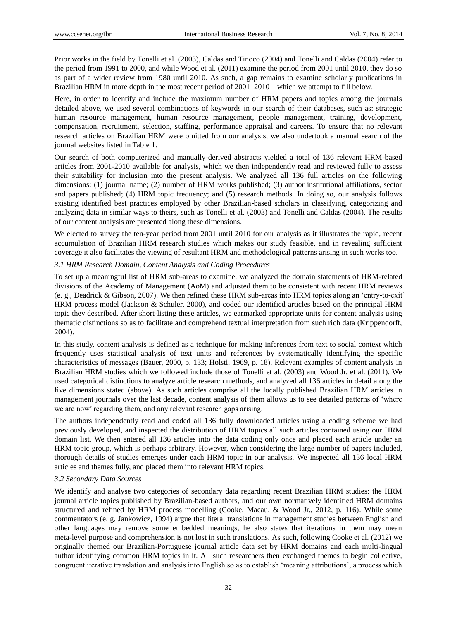Prior works in the field by Tonelli et al. (2003), Caldas and Tinoco (2004) and Tonelli and Caldas (2004) refer to the period from 1991 to 2000, and while Wood et al. (2011) examine the period from 2001 until 2010, they do so as part of a wider review from 1980 until 2010. As such, a gap remains to examine scholarly publications in Brazilian HRM in more depth in the most recent period of 2001–2010 – which we attempt to fill below.

Here, in order to identify and include the maximum number of HRM papers and topics among the journals detailed above, we used several combinations of keywords in our search of their databases, such as: strategic human resource management, human resource management, people management, training, development, compensation, recruitment, selection, staffing, performance appraisal and careers. To ensure that no relevant research articles on Brazilian HRM were omitted from our analysis, we also undertook a manual search of the journal websites listed in Table 1.

Our search of both computerized and manually-derived abstracts yielded a total of 136 relevant HRM-based articles from 2001-2010 available for analysis, which we then independently read and reviewed fully to assess their suitability for inclusion into the present analysis. We analyzed all 136 full articles on the following dimensions: (1) journal name; (2) number of HRM works published; (3) author institutional affiliations, sector and papers published; (4) HRM topic frequency; and (5) research methods. In doing so, our analysis follows existing identified best practices employed by other Brazilian-based scholars in classifying, categorizing and analyzing data in similar ways to theirs, such as Tonelli et al. (2003) and Tonelli and Caldas (2004). The results of our content analysis are presented along these dimensions.

We elected to survey the ten-year period from 2001 until 2010 for our analysis as it illustrates the rapid, recent accumulation of Brazilian HRM research studies which makes our study feasible, and in revealing sufficient coverage it also facilitates the viewing of resultant HRM and methodological patterns arising in such works too.

#### *3.1 HRM Research Domain, Content Analysis and Coding Procedures*

To set up a meaningful list of HRM sub-areas to examine, we analyzed the domain statements of HRM-related divisions of the Academy of Management (AoM) and adjusted them to be consistent with recent HRM reviews (e. g., Deadrick & Gibson, 2007). We then refined these HRM sub-areas into HRM topics along an "entry-to-exit" HRM process model (Jackson & Schuler, 2000), and coded our identified articles based on the principal HRM topic they described. After short-listing these articles, we earmarked appropriate units for content analysis using thematic distinctions so as to facilitate and comprehend textual interpretation from such rich data (Krippendorff, 2004).

In this study, content analysis is defined as a technique for making inferences from text to social context which frequently uses statistical analysis of text units and references by systematically identifying the specific characteristics of messages (Bauer, 2000, p. 133; Holsti, 1969, p. 18). Relevant examples of content analysis in Brazilian HRM studies which we followed include those of Tonelli et al. (2003) and Wood Jr. et al. (2011). We used categorical distinctions to analyze article research methods, and analyzed all 136 articles in detail along the five dimensions stated (above). As such articles comprise all the locally published Brazilian HRM articles in management journals over the last decade, content analysis of them allows us to see detailed patterns of "where we are now" regarding them, and any relevant research gaps arising.

The authors independently read and coded all 136 fully downloaded articles using a coding scheme we had previously developed, and inspected the distribution of HRM topics all such articles contained using our HRM domain list. We then entered all 136 articles into the data coding only once and placed each article under an HRM topic group, which is perhaps arbitrary. However, when considering the large number of papers included, thorough details of studies emerges under each HRM topic in our analysis. We inspected all 136 local HRM articles and themes fully, and placed them into relevant HRM topics.

#### *3.2 Secondary Data Sources*

We identify and analyse two categories of secondary data regarding recent Brazilian HRM studies: the HRM journal article topics published by Brazilian-based authors, and our own normatively identified HRM domains structured and refined by HRM process modelling (Cooke, Macau, & Wood Jr., 2012, p. 116). While some commentators (e. g. Jankowicz, 1994) argue that literal translations in management studies between English and other languages may remove some embedded meanings, he also states that iterations in them may mean meta-level purpose and comprehension is not lost in such translations. As such, following Cooke et al. (2012) we originally themed our Brazilian-Portuguese journal article data set by HRM domains and each multi-lingual author identifying common HRM topics in it. All such researchers then exchanged themes to begin collective, congruent iterative translation and analysis into English so as to establish "meaning attributions", a process which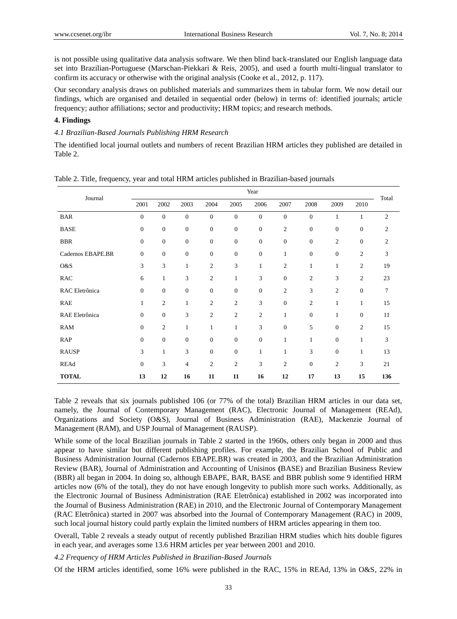is not possible using qualitative data analysis software. We then blind back-translated our English language data set into Brazilian-Portuguese (Marschan-Piekkari & Reis, 2005), and used a fourth multi-lingual translator to confirm its accuracy or otherwise with the original analysis (Cooke et al., 2012, p. 117).

Our secondary analysis draws on published materials and summarizes them in tabular form. We now detail our findings, which are organised and detailed in sequential order (below) in terms of: identified journals; article frequency; author affiliations; sector and productivity; HRM topics; and research methods.

## **4. Findings**

#### *4.1 Brazilian-Based Journals Publishing HRM Research*

The identified local journal outlets and numbers of recent Brazilian HRM articles they published are detailed in Table 2.

| Journal           | Year             |                  |                  |                  |                  | Total            |                  |                  |                  |                  |                |
|-------------------|------------------|------------------|------------------|------------------|------------------|------------------|------------------|------------------|------------------|------------------|----------------|
|                   | 2001             | 2002             | 2003             | 2004             | 2005             | 2006             | 2007             | 2008             | 2009             | 2010             |                |
| <b>BAR</b>        | $\boldsymbol{0}$ | $\mathbf{0}$     | $\boldsymbol{0}$ | $\overline{0}$   | $\overline{0}$   | $\boldsymbol{0}$ | $\mathbf{0}$     | $\overline{0}$   | 1                | $\mathbf{1}$     | $\overline{2}$ |
| <b>BASE</b>       | $\boldsymbol{0}$ | $\mathbf{0}$     | $\boldsymbol{0}$ | $\overline{0}$   | $\mathbf{0}$     | $\boldsymbol{0}$ | $\mathfrak{2}$   | $\overline{0}$   | $\mathbf{0}$     | $\boldsymbol{0}$ | $\overline{2}$ |
| <b>BBR</b>        | $\boldsymbol{0}$ | $\boldsymbol{0}$ | $\boldsymbol{0}$ | $\mathbf{0}$     | $\mathbf{0}$     | $\boldsymbol{0}$ | $\mathbf{0}$     | $\overline{0}$   | $\overline{c}$   | $\boldsymbol{0}$ | $\overline{c}$ |
| Cadernos EBAPE.BR | $\boldsymbol{0}$ | $\boldsymbol{0}$ | $\boldsymbol{0}$ | $\boldsymbol{0}$ | $\boldsymbol{0}$ | $\boldsymbol{0}$ | $\mathbf{1}$     | $\boldsymbol{0}$ | $\boldsymbol{0}$ | $\mathfrak{2}$   | 3              |
| O&S               | 3                | 3                | $\mathbf{1}$     | $\mathfrak{2}$   | 3                | $\mathbf{1}$     | $\mathfrak{2}$   | $\mathbf{1}$     | 1                | $\mathfrak{2}$   | 19             |
| <b>RAC</b>        | 6                | $\mathbf{1}$     | 3                | $\overline{c}$   | 1                | 3                | $\boldsymbol{0}$ | $\overline{2}$   | 3                | $\mathfrak{2}$   | 23             |
| RAC Eletrônica    | $\boldsymbol{0}$ | $\boldsymbol{0}$ | $\boldsymbol{0}$ | $\boldsymbol{0}$ | $\boldsymbol{0}$ | $\boldsymbol{0}$ | $\mathfrak{2}$   | 3                | $\mathfrak{2}$   | $\boldsymbol{0}$ | 7              |
| <b>RAE</b>        | $\mathbf{1}$     | $\overline{c}$   | $\mathbf{1}$     | $\overline{2}$   | $\overline{2}$   | 3                | $\mathbf{0}$     | $\mathfrak{2}$   | $\mathbf{1}$     | $\mathbf{1}$     | 15             |
| RAE Eletrônica    | $\boldsymbol{0}$ | $\overline{0}$   | 3                | $\overline{2}$   | $\overline{2}$   | $\overline{2}$   | $\mathbf{1}$     | $\overline{0}$   | 1                | $\boldsymbol{0}$ | 11             |
| <b>RAM</b>        | $\boldsymbol{0}$ | $\overline{c}$   | 1                | $\mathbf{1}$     | 1                | 3                | $\boldsymbol{0}$ | 5                | $\mathbf{0}$     | $\mathfrak{2}$   | 15             |
| <b>RAP</b>        | $\boldsymbol{0}$ | $\overline{0}$   | $\boldsymbol{0}$ | $\mathbf{0}$     | $\mathbf{0}$     | $\boldsymbol{0}$ | 1                | $\mathbf{1}$     | $\mathbf{0}$     | $\mathbf{1}$     | 3              |
| <b>RAUSP</b>      | 3                | 1                | 3                | $\mathbf{0}$     | $\mathbf{0}$     | $\mathbf{1}$     | $\mathbf{1}$     | 3                | $\mathbf{0}$     | $\mathbf{1}$     | 13             |
| <b>REAd</b>       | $\boldsymbol{0}$ | 3                | $\overline{4}$   | $\mathfrak{2}$   | 2                | 3                | $\mathfrak{2}$   | $\boldsymbol{0}$ | $\overline{c}$   | 3                | 21             |
| <b>TOTAL</b>      | 13               | 12               | 16               | 11               | 11               | 16               | 12               | 17               | 13               | 15               | 136            |

Table 2. Title, frequency, year and total HRM articles published in Brazilian-based journals

Table 2 reveals that six journals published 106 (or 77% of the total) Brazilian HRM articles in our data set, namely, the Journal of Contemporary Management (RAC), Electronic Journal of Management (REAd), Organizations and Society (O&S), Journal of Business Administration (RAE), Mackenzie Journal of Management (RAM), and USP Journal of Management (RAUSP).

While some of the local Brazilian journals in Table 2 started in the 1960s, others only began in 2000 and thus appear to have similar but different publishing profiles. For example, the Brazilian School of Public and Business Administration Journal (Cadernos EBAPE.BR) was created in 2003, and the Brazilian Administration Review (BAR), Journal of Administration and Accounting of Unisinos **(**BASE) and Brazilian Business Review (BBR) all began in 2004. In doing so, although EBAPE, BAR, BASE and BBR publish some 9 identified HRM articles now (6% of the total), they do not have enough longevity to publish more such works. Additionally, as the Electronic Journal of Business Administration (RAE Eletrônica) established in 2002 was incorporated into the Journal of Business Administration (RAE) in 2010, and the Electronic Journal of Contemporary Management (RAC Eletrônica) started in 2007 was absorbed into the Journal of Contemporary Management (RAC) in 2009, such local journal history could partly explain the limited numbers of HRM articles appearing in them too.

Overall, Table 2 reveals a steady output of recently published Brazilian HRM studies which hits double figures in each year, and averages some 13.6 HRM articles per year between 2001 and 2010.

*4.2 Frequency of HRM Articles Published in Brazilian-Based Journals* 

Of the HRM articles identified, some 16% were published in the RAC, 15% in REAd, 13% in O&S, 22% in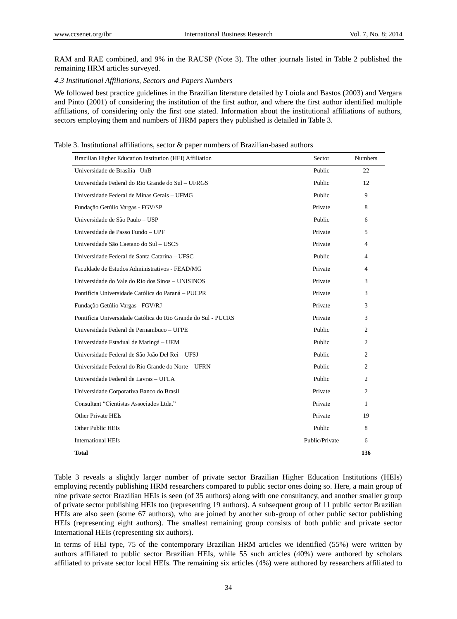RAM and RAE combined, and 9% in the RAUSP (Note 3). The other journals listed in Table 2 published the remaining HRM articles surveyed.

## *4.3 Institutional Affiliations, Sectors and Papers Numbers*

We followed best practice guidelines in the Brazilian literature detailed by Loiola and Bastos (2003) and Vergara and Pinto (2001) of considering the institution of the first author, and where the first author identified multiple affiliations, of considering only the first one stated. Information about the institutional affiliations of authors, sectors employing them and numbers of HRM papers they published is detailed in Table 3.

#### Table 3. Institutional affiliations, sector & paper numbers of Brazilian-based authors

| Brazilian Higher Education Institution (HEI) Affiliation      | Sector         | <b>Numbers</b> |
|---------------------------------------------------------------|----------------|----------------|
| Universidade de Bras Iia - UnB                                | Public         | 22             |
| Universidade Federal do Rio Grande do Sul – UFRGS             | Public         | 12             |
| Universidade Federal de Minas Gerais - UFMG                   | Public         | 9              |
| Fundação Get úlio Vargas - FGV/SP                             | Private        | 8              |
| Universidade de São Paulo - USP                               | Public         | 6              |
| Universidade de Passo Fundo - UPF                             | Private        | 5              |
| Universidade São Caetano do Sul - USCS                        | Private        | $\overline{4}$ |
| Universidade Federal de Santa Catarina - UFSC                 | Public         | 4              |
| Faculdade de Estudos Administrativos - FEAD/MG                | Private        | $\overline{4}$ |
| Universidade do Vale do Rio dos Sinos - UNISINOS              | Private        | 3              |
| Pontif cia Universidade Católica do Paran á - PUCPR           | Private        | 3              |
| Fundação Get úlio Vargas - FGV/RJ                             | Private        | 3              |
| Pontif éia Universidade Católica do Rio Grande do Sul - PUCRS | Private        | 3              |
| Universidade Federal de Pernambuco – UFPE                     | Public         | 2              |
| Universidade Estadual de Maring á-UEM                         | Public         | 2              |
| Universidade Federal de São João Del Rei - UFSJ               | Public         | 2              |
| Universidade Federal do Rio Grande do Norte - UFRN            | Public         | 2              |
| Universidade Federal de Lavras – UFLA                         | Public         | 2              |
| Universidade Corporativa Banco do Brasil                      | Private        | 2              |
| Consultant "Cientistas Associados Ltda."                      | Private        | 1              |
| Other Private HEIs                                            | Private        | 19             |
| Other Public HEIs                                             | Public         | 8              |
| <b>International HEIs</b>                                     | Public/Private | 6              |
| Total                                                         |                | 136            |

Table 3 reveals a slightly larger number of private sector Brazilian Higher Education Institutions (HEIs) employing recently publishing HRM researchers compared to public sector ones doing so. Here, a main group of nine private sector Brazilian HEIs is seen (of 35 authors) along with one consultancy, and another smaller group of private sector publishing HEIs too (representing 19 authors). A subsequent group of 11 public sector Brazilian HEIs are also seen (some 67 authors), who are joined by another sub-group of other public sector publishing HEIs (representing eight authors). The smallest remaining group consists of both public and private sector International HEIs (representing six authors).

In terms of HEI type, 75 of the contemporary Brazilian HRM articles we identified (55%) were written by authors affiliated to public sector Brazilian HEIs, while 55 such articles (40%) were authored by scholars affiliated to private sector local HEIs. The remaining six articles (4%) were authored by researchers affiliated to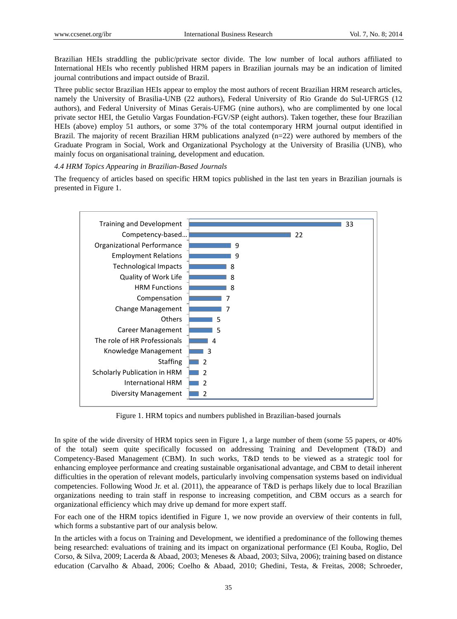Brazilian HEIs straddling the public/private sector divide. The low number of local authors affiliated to International HEIs who recently published HRM papers in Brazilian journals may be an indication of limited journal contributions and impact outside of Brazil.

Three public sector Brazilian HEIs appear to employ the most authors of recent Brazilian HRM research articles, namely the University of Brasilia-UNB (22 authors), Federal University of Rio Grande do Sul-UFRGS (12 authors), and Federal University of Minas Gerais-UFMG (nine authors), who are complimented by one local private sector HEI, the Getulio Vargas Foundation-FGV/SP (eight authors). Taken together, these four Brazilian HEIs (above) employ 51 authors, or some 37% of the total contemporary HRM journal output identified in Brazil. The majority of recent Brazilian HRM publications analyzed (n=22) were authored by members of the Graduate Program in Social, Work and Organizational Psychology at the University of Brasilia (UNB), who mainly focus on organisational training, development and education.

*4.4 HRM Topics Appearing in Brazilian-Based Journals*

The frequency of articles based on specific HRM topics published in the last ten years in Brazilian journals is presented in Figure 1.



Figure 1. HRM topics and numbers published in Brazilian-based journals

In spite of the wide diversity of HRM topics seen in Figure 1, a large number of them (some 55 papers, or 40% of the total) seem quite specifically focussed on addressing Training and Development (T&D) and Competency-Based Management (CBM). In such works, T&D tends to be viewed as a strategic tool for enhancing employee performance and creating sustainable organisational advantage, and CBM to detail inherent difficulties in the operation of relevant models, particularly involving compensation systems based on individual competencies. Following Wood Jr. et al. (2011), the appearance of T&D is perhaps likely due to local Brazilian organizations needing to train staff in response to increasing competition, and CBM occurs as a search for organizational efficiency which may drive up demand for more expert staff.

For each one of the HRM topics identified in Figure 1, we now provide an overview of their contents in full, which forms a substantive part of our analysis below.

In the articles with a focus on Training and Development, we identified a predominance of the following themes being researched: evaluations of training and its impact on organizational performance (El Kouba, Roglio, Del Corso, & Silva, 2009; Lacerda & Abaad, 2003; Meneses & Abaad, 2003; Silva, 2006); training based on distance education (Carvalho & Abaad, 2006; Coelho & Abaad, 2010; Ghedini, Testa, & Freitas, 2008; Schroeder,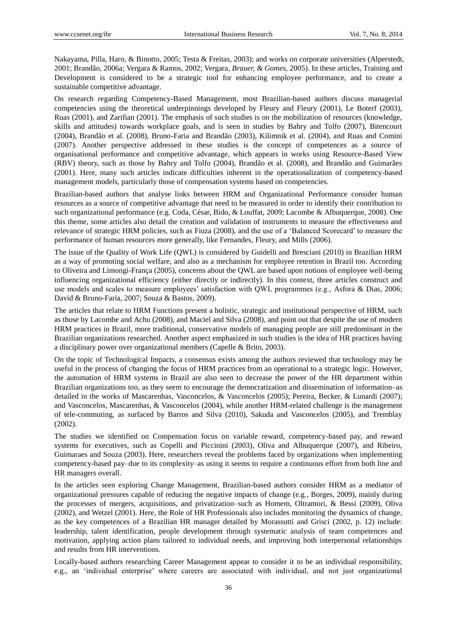Nakayama, Pilla, Haro, & Binotto, 2005; Testa & Freitas, 2003); and works on corporate universities (Alperstedt, 2001; Brandão, 2006a; Vergara & Ramos, 2002; Vergara, *Brauer, & Gomes,* 2005). In these articles, Training and Development is considered to be a strategic tool for enhancing employee performance, and to create a sustainable competitive advantage.

On research regarding Competency-Based Management, most Brazilian-based authors discuss managerial competencies using the theoretical underpinnings developed by Fleury and Fleury (2001), Le Boterf (2003), Ruas (2001), and Zarifian (2001). The emphasis of such studies is on the mobilization of resources (knowledge, skills and attitudes) towards workplace goals, and is seen in studies by Bahry and Tolfo (2007), Bitencourt (2004), Brandão et al. (2008), Bruno-Faria and Brandão (2003), Kilimnik et al. (2004), and Ruas and Comini (2007). Another perspective addressed in these studies is the concept of competences as a source of organisational performance and competitive advantage, which appears in works using Resource-Based View (RBV) theory, such as those by Bahry and Tolfo (2004), Brandão et al. (2008), and Brandão and Guimarães (2001). Here, many such articles indicate difficulties inherent in the operationalization of competency-based management models, particularly those of compensation systems based on competencies.

Brazilian-based authors that analyse links between HRM and Organizational Performance consider human resources as a source of competitive advantage that need to be measured in order to identify their contribution to such organizational performance (e.g. Coda, C ésar, Bido, & Louffat, 2009; Lacombe & Albuquerque, 2008). One this theme, some articles also detail the creation and validation of instruments to measure the effectiveness and relevance of strategic HRM policies, such as Fiuza (2008), and the use of a "Balanced Scorecard" to measure the performance of human resources more generally, like Fernandes, Fleury, and Mills (2006).

The issue of the Quality of Work Life (QWL) is considered by Guidelli and Bresciani (2010) in Brazilian HRM as a way of promoting social welfare, and also as a mechanism for employee retention in Brazil too. According to Oliveira and Limongi-França (2005), concerns about the QWL are based upon notions of employee well-being influencing organizational efficiency (either directly or indirectly). In this context, three articles construct and use models and scales to measure employees' satisfaction with QWL programmes (e.g., Asfora & Dias, 2006; David & Bruno-Faria, 2007; Souza & Bastos, 2009).

The articles that relate to HRM Functions present a holistic, strategic and institutional perspective of HRM, such as those by Lacombe and Achu (2008), and Maciel and Silva (2008), and point out that despite the use of modern HRM practices in Brazil, more traditional, conservative models of managing people are still predominant in the Brazilian organizations researched. Another aspect emphasized in such studies is the idea of HR practices having a disciplinary power over organizational members (Capelle & Brito, 2003).

On the topic of Technological Impacts, a consensus exists among the authors reviewed that technology may be useful in the process of changing the focus of HRM practices from an operational to a strategic logic. However, the automation of HRM systems in Brazil are also seen to decrease the power of the HR department within Brazilian organizations too, as they seem to encourage the democratization and dissemination of information–as detailed in the works of Mascarenhas, Vasconcelos, & Vasconcelos (2005); Pereira, Becker, & Lunardi (2007); and Vasconcelos, Mascarenhas, & Vasconcelos (2004), while another HRM-related challenge is the management of tele-commuting, as surfaced by Barros and Silva (2010), Sakuda and Vasconcelos (2005), and Tremblay (2002).

The studies we identified on Compensation focus on variable reward, competency-based pay, and reward systems for executives, such as Copelli and Piccinini (2003), Oliva and Albuquerque (2007), and Ribeiro, Guimaraes and Souza (2003). Here, researchers reveal the problems faced by organizations when implementing competency-based pay–due to its complexity–as using it seems to require a continuous effort from both line and HR managers overall.

In the articles seen exploring Change Management, Brazilian-based authors consider HRM as a mediator of organizational pressures capable of reducing the negative impacts of change (e.g., Borges, 2009), mainly during the processes of mergers, acquisitions, and privatization–such as Homem, Oltramori, & Bessi (2009), Oliva (2002), and Wetzel (2001). Here, the Role of HR Professionals also includes monitoring the dynamics of change, as the key competences of a Brazilian HR manager detailed by Morassutti and Grisci (2002, p. 12) include: leadership, talent identification, people development through systematic analysis of team competences and motivation, applying action plans tailored to individual needs, and improving both interpersonal relationships and results from HR interventions.

Locally-based authors researching Career Management appear to consider it to be an individual responsibility, e.g., an "individual enterprise" where careers are associated with individual, and not just organizational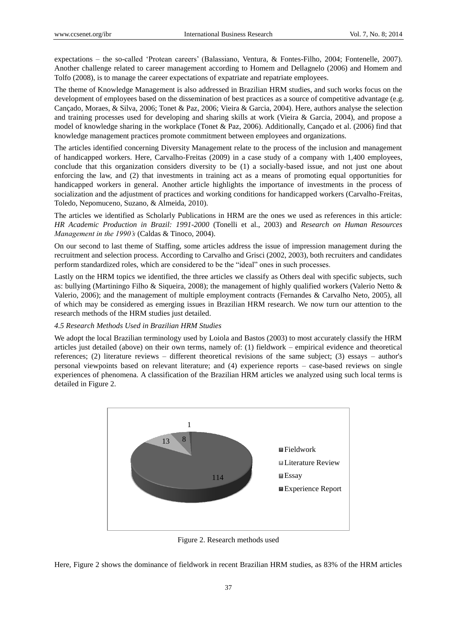expectations – the so-called "Protean careers" (Balassiano, Ventura, & Fontes-Filho, 2004; Fontenelle, 2007). Another challenge related to career management according to Homem and Dellagnelo (2006) and Homem and Tolfo (2008), is to manage the career expectations of expatriate and repatriate employees.

The theme of Knowledge Management is also addressed in Brazilian HRM studies, and such works focus on the development of employees based on the dissemination of best practices as a source of competitive advantage (e.g. Cançado, Moraes, & Silva, 2006; Tonet & Paz, 2006; Vieira & Garcia, 2004). Here, authors analyse the selection and training processes used for developing and sharing skills at work (Vieira & Garcia, 2004), and propose a model of knowledge sharing in the workplace (Tonet & Paz, 2006). Additionally, Cançado et al. (2006) find that knowledge management practices promote commitment between employees and organizations.

The articles identified concerning Diversity Management relate to the process of the inclusion and management of handicapped workers. Here, Carvalho-Freitas (2009) in a case study of a company with 1,400 employees, conclude that this organization considers diversity to be (1) a socially-based issue, and not just one about enforcing the law, and (2) that investments in training act as a means of promoting equal opportunities for handicapped workers in general. Another article highlights the importance of investments in the process of socialization and the adjustment of practices and working conditions for handicapped workers (Carvalho-Freitas, Toledo, Nepomuceno, Suzano, & Almeida, 2010).

The articles we identified as Scholarly Publications in HRM are the ones we used as references in this article: *HR Academic Production in Brazil: 1991-2000* (Tonelli et al., 2003) and *Research on Human Resources Management in the 1990's* (Caldas & Tinoco, 2004).

On our second to last theme of Staffing, some articles address the issue of impression management during the recruitment and selection process. According to Carvalho and Grisci (2002, 2003), both recruiters and candidates perform standardized roles, which are considered to be the "ideal" ones in such processes.

Lastly on the HRM topics we identified, the three articles we classify as Others deal with specific subjects, such as: bullying (Martiningo Filho & Siqueira, 2008); the management of highly qualified workers (Valerio Netto & Valerio, 2006); and the management of multiple employment contracts (Fernandes & Carvalho Neto, 2005), all of which may be considered as emerging issues in Brazilian HRM research. We now turn our attention to the research methods of the HRM studies just detailed.

#### *4.5 Research Methods Used in Brazilian HRM Studies*

We adopt the local Brazilian terminology used by Loiola and Bastos (2003) to most accurately classify the HRM articles just detailed (above) on their own terms, namely of: (1) fieldwork – empirical evidence and theoretical references; (2) literature reviews – different theoretical revisions of the same subject; (3) essays – author's personal viewpoints based on relevant literature; and (4) experience reports – case-based reviews on single experiences of phenomena. A classification of the Brazilian HRM articles we analyzed using such local terms is detailed in Figure 2.



Figure 2. Research methods used

Here, Figure 2 shows the dominance of fieldwork in recent Brazilian HRM studies, as 83% of the HRM articles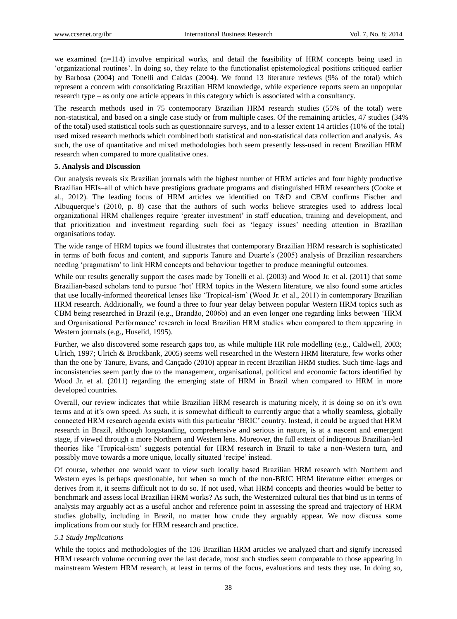we examined (n=114) involve empirical works, and detail the feasibility of HRM concepts being used in "organizational routines". In doing so, they relate to the functionalist epistemological positions critiqued earlier by Barbosa (2004) and Tonelli and Caldas (2004). We found 13 literature reviews (9% of the total) which represent a concern with consolidating Brazilian HRM knowledge, while experience reports seem an unpopular research type – as only one article appears in this category which is associated with a consultancy.

The research methods used in 75 contemporary Brazilian HRM research studies (55% of the total) were non-statistical, and based on a single case study or from multiple cases. Of the remaining articles, 47 studies (34% of the total) used statistical tools such as questionnaire surveys, and to a lesser extent 14 articles (10% of the total) used mixed research methods which combined both statistical and non-statistical data collection and analysis. As such, the use of quantitative and mixed methodologies both seem presently less-used in recent Brazilian HRM research when compared to more qualitative ones.

#### **5. Analysis and Discussion**

Our analysis reveals six Brazilian journals with the highest number of HRM articles and four highly productive Brazilian HEIs–all of which have prestigious graduate programs and distinguished HRM researchers (Cooke et al., 2012). The leading focus of HRM articles we identified on T&D and CBM confirms Fischer and Albuquerque"s (2010, p. 8) case that the authors of such works believe strategies used to address local organizational HRM challenges require "greater investment" in staff education, training and development, and that prioritization and investment regarding such foci as "legacy issues" needing attention in Brazilian organisations today.

The wide range of HRM topics we found illustrates that contemporary Brazilian HRM research is sophisticated in terms of both focus and content, and supports Tanure and Duarte's (2005) analysis of Brazilian researchers needing "pragmatism" to link HRM concepts and behaviour together to produce meaningful outcomes.

While our results generally support the cases made by Tonelli et al. (2003) and Wood Jr. et al. (2011) that some Brazilian-based scholars tend to pursue "hot" HRM topics in the Western literature, we also found some articles that use locally-informed theoretical lenses like "Tropical-ism" (Wood Jr. et al., 2011) in contemporary Brazilian HRM research. Additionally, we found a three to four year delay between popular Western HRM topics such as CBM being researched in Brazil (e.g., Brandão, 2006b) and an even longer one regarding links between "HRM and Organisational Performance" research in local Brazilian HRM studies when compared to them appearing in Western journals (e.g., Huselid, 1995).

Further, we also discovered some research gaps too, as while multiple HR role modelling (e.g., Caldwell, 2003; Ulrich, 1997; Ulrich & Brockbank, 2005) seems well researched in the Western HRM literature, few works other than the one by Tanure, Evans, and Cançado (2010) appear in recent Brazilian HRM studies. Such time-lags and inconsistencies seem partly due to the management, organisational, political and economic factors identified by Wood Jr. et al. (2011) regarding the emerging state of HRM in Brazil when compared to HRM in more developed countries.

Overall, our review indicates that while Brazilian HRM research is maturing nicely, it is doing so on it"s own terms and at it's own speed. As such, it is somewhat difficult to currently argue that a wholly seamless, globally connected HRM research agenda exists with this particular "BRIC" country. Instead, it could be argued that HRM research in Brazil, although longstanding, comprehensive and serious in nature, is at a nascent and emergent stage, if viewed through a more Northern and Western lens. Moreover, the full extent of indigenous Brazilian-led theories like "Tropical-ism" suggests potential for HRM research in Brazil to take a non-Western turn, and possibly move towards a more unique, locally situated "recipe" instead.

Of course, whether one would want to view such locally based Brazilian HRM research with Northern and Western eyes is perhaps questionable, but when so much of the non-BRIC HRM literature either emerges or derives from it, it seems difficult not to do so. If not used, what HRM concepts and theories would be better to benchmark and assess local Brazilian HRM works? As such, the Westernized cultural ties that bind us in terms of analysis may arguably act as a useful anchor and reference point in assessing the spread and trajectory of HRM studies globally, including in Brazil, no matter how crude they arguably appear. We now discuss some implications from our study for HRM research and practice.

## *5.1 Study Implications*

While the topics and methodologies of the 136 Brazilian HRM articles we analyzed chart and signify increased HRM research volume occurring over the last decade, most such studies seem comparable to those appearing in mainstream Western HRM research, at least in terms of the focus, evaluations and tests they use. In doing so,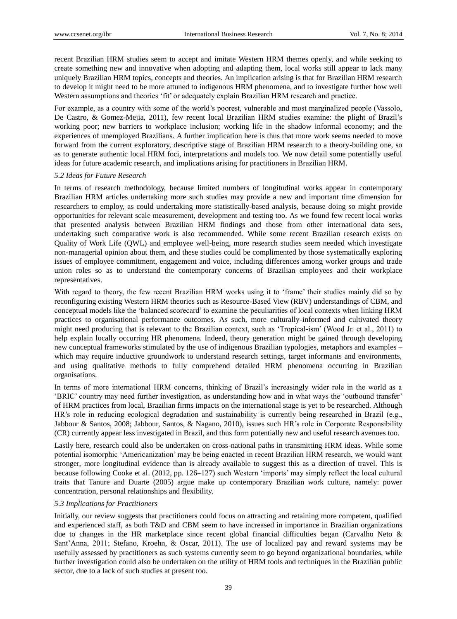recent Brazilian HRM studies seem to accept and imitate Western HRM themes openly, and while seeking to create something new and innovative when adopting and adapting them, local works still appear to lack many uniquely Brazilian HRM topics, concepts and theories. An implication arising is that for Brazilian HRM research to develop it might need to be more attuned to indigenous HRM phenomena, and to investigate further how well Western assumptions and theories 'fit' or adequately explain Brazilian HRM research and practice.

For example, as a country with some of the world"s poorest, vulnerable and most marginalized people (Vassolo, De Castro, & Gomez-Mejia, 2011), few recent local Brazilian HRM studies examine: the plight of Brazil's working poor; new barriers to workplace inclusion; working life in the shadow informal economy; and the experiences of unemployed Brazilians. A further implication here is thus that more work seems needed to move forward from the current exploratory, descriptive stage of Brazilian HRM research to a theory-building one, so as to generate authentic local HRM foci, interpretations and models too. We now detail some potentially useful ideas for future academic research, and implications arising for practitioners in Brazilian HRM.

#### *5.2 Ideas for Future Research*

In terms of research methodology, because limited numbers of longitudinal works appear in contemporary Brazilian HRM articles undertaking more such studies may provide a new and important time dimension for researchers to employ, as could undertaking more statistically-based analysis, because doing so might provide opportunities for relevant scale measurement, development and testing too. As we found few recent local works that presented analysis between Brazilian HRM findings and those from other international data sets, undertaking such comparative work is also recommended. While some recent Brazilian research exists on Quality of Work Life (QWL) and employee well-being, more research studies seem needed which investigate non-managerial opinion about them, and these studies could be complimented by those systematically exploring issues of employee commitment, engagement and voice, including differences among worker groups and trade union roles so as to understand the contemporary concerns of Brazilian employees and their workplace representatives.

With regard to theory, the few recent Brazilian HRM works using it to 'frame' their studies mainly did so by reconfiguring existing Western HRM theories such as Resource-Based View (RBV) understandings of CBM, and conceptual models like the "balanced scorecard" to examine the peculiarities of local contexts when linking HRM practices to organisational performance outcomes. As such, more culturally-informed and cultivated theory might need producing that is relevant to the Brazilian context, such as "Tropical-ism" (Wood Jr. et al., 2011) to help explain locally occurring HR phenomena. Indeed, theory generation might be gained through developing new conceptual frameworks stimulated by the use of indigenous Brazilian typologies, metaphors and examples – which may require inductive groundwork to understand research settings, target informants and environments, and using qualitative methods to fully comprehend detailed HRM phenomena occurring in Brazilian organisations.

In terms of more international HRM concerns, thinking of Brazil's increasingly wider role in the world as a "BRIC" country may need further investigation, as understanding how and in what ways the "outbound transfer" of HRM practices from local, Brazilian firms impacts on the international stage is yet to be researched. Although HR's role in reducing ecological degradation and sustainability is currently being researched in Brazil (e.g., Jabbour & Santos, 2008; Jabbour, Santos, & Nagano, 2010), issues such HR"s role in Corporate Responsibility (CR) currently appear less investigated in Brazil, and thus form potentially new and useful research avenues too.

Lastly here, research could also be undertaken on cross-national paths in transmitting HRM ideas. While some potential isomorphic "Americanization" may be being enacted in recent Brazilian HRM research, we would want stronger, more longitudinal evidence than is already available to suggest this as a direction of travel. This is because following Cooke et al. (2012, pp. 126–127) such Western "imports" may simply reflect the local cultural traits that Tanure and Duarte (2005) argue make up contemporary Brazilian work culture, namely: power concentration, personal relationships and flexibility.

#### *5.3 Implications for Practitioners*

Initially, our review suggests that practitioners could focus on attracting and retaining more competent, qualified and experienced staff, as both T&D and CBM seem to have increased in importance in Brazilian organizations due to changes in the HR marketplace since recent global financial difficulties began (Carvalho Neto & Sant"Anna, 2011; Stefano, Kroehn, & Oscar, 2011). The use of localized pay and reward systems may be usefully assessed by practitioners as such systems currently seem to go beyond organizational boundaries, while further investigation could also be undertaken on the utility of HRM tools and techniques in the Brazilian public sector, due to a lack of such studies at present too.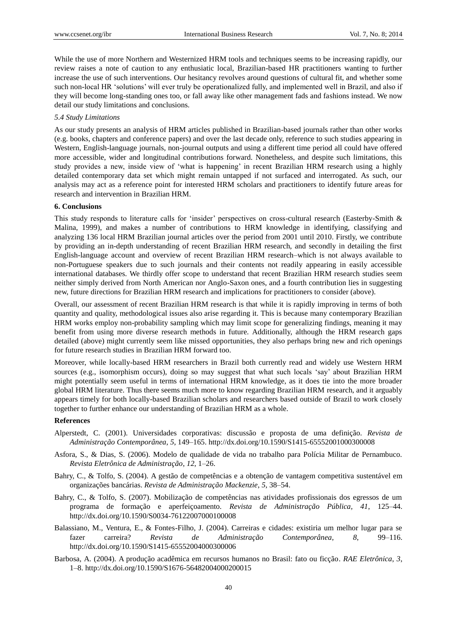While the use of more Northern and Westernized HRM tools and techniques seems to be increasing rapidly, our review raises a note of caution to any enthusiatic local, Brazilian-based HR practitioners wanting to further increase the use of such interventions. Our hesitancy revolves around questions of cultural fit, and whether some such non-local HR 'solutions' will ever truly be operationalized fully, and implemented well in Brazil, and also if they will become long-standing ones too, or fall away like other management fads and fashions instead. We now detail our study limitations and conclusions.

## *5.4 Study Limitations*

As our study presents an analysis of HRM articles published in Brazilian-based journals rather than other works (e.g. books, chapters and conference papers) and over the last decade only, reference to such studies appearing in Western, English-language journals, non-journal outputs and using a different time period all could have offered more accessible, wider and longitudinal contributions forward. Nonetheless, and despite such limitations, this study provides a new, inside view of "what is happening" in recent Brazilian HRM research using a highly detailed contemporary data set which might remain untapped if not surfaced and interrogated. As such, our analysis may act as a reference point for interested HRM scholars and practitioners to identify future areas for research and intervention in Brazilian HRM.

# **6. Conclusions**

This study responds to literature calls for 'insider' perspectives on cross-cultural research (Easterby-Smith & Malina, 1999), and makes a number of contributions to HRM knowledge in identifying, classifying and analyzing 136 local HRM Brazilian journal articles over the period from 2001 until 2010. Firstly, we contribute by providing an in-depth understanding of recent Brazilian HRM research, and secondly in detailing the first English-language account and overview of recent Brazilian HRM research–which is not always available to non-Portuguese speakers due to such journals and their contents not readily appearing in easily accessible international databases. We thirdly offer scope to understand that recent Brazilian HRM research studies seem neither simply derived from North American nor Anglo-Saxon ones, and a fourth contribution lies in suggesting new, future directions for Brazilian HRM research and implications for practitioners to consider (above).

Overall, our assessment of recent Brazilian HRM research is that while it is rapidly improving in terms of both quantity and quality, methodological issues also arise regarding it. This is because many contemporary Brazilian HRM works employ non-probability sampling which may limit scope for generalizing findings, meaning it may benefit from using more diverse research methods in future. Additionally, although the HRM research gaps detailed (above) might currently seem like missed opportunities, they also perhaps bring new and rich openings for future research studies in Brazilian HRM forward too.

Moreover, while locally-based HRM researchers in Brazil both currently read and widely use Western HRM sources (e.g., isomorphism occurs), doing so may suggest that what such locals "say" about Brazilian HRM might potentially seem useful in terms of international HRM knowledge, as it does tie into the more broader global HRM literature. Thus there seems much more to know regarding Brazilian HRM research, and it arguably appears timely for both locally-based Brazilian scholars and researchers based outside of Brazil to work closely together to further enhance our understanding of Brazilian HRM as a whole.

## **References**

- Alperstedt, C. (2001). Universidades corporativas: discussão e proposta de uma definição. *Revista de Administração Contemporânea*, *5*, 149–165. http://dx.doi.org/10.1590/S1415-65552001000300008
- Asfora, S., & Dias, S. (2006). Modelo de qualidade de vida no trabalho para Polícia Militar de Pernambuco. *Revista Eletrônica de Administração*, *12*, 1–26.
- Bahry, C., & Tolfo, S. (2004). A gestão de competências e a obtenção de vantagem competitiva sustentável em organizações bancárias. *Revista de Administração Mackenzie*, *5*, 38–54.
- Bahry, C., & Tolfo, S. (2007). Mobilização de competências nas atividades profissionais dos egressos de um programa de formação e aperfeiçoamento. *Revista de Administração Pública, 41*, 125–44. http://dx.doi.org/10.1590/S0034-76122007000100008
- Balassiano, M., Ventura, E., & Fontes-Filho, J. (2004). Carreiras e cidades: existiria um melhor lugar para se fazer carreira? *Revista de Administração Contemporânea*, *8*, 99–116. http://dx.doi.org/10.1590/S1415-65552004000300006
- Barbosa, A. (2004). A produção acadêmica em recursos humanos no Brasil: fato ou ficção. *RAE Eletrônica*, *3*, 1–8. http://dx.doi.org/10.1590/S1676-56482004000200015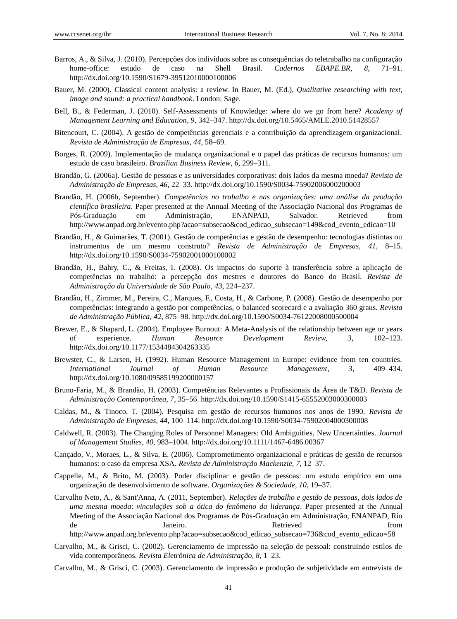- Barros, A., & Silva, J. (2010). Percepções dos indivíduos sobre as consequências do teletrabalho na configuração home-office: estudo de caso na Shell Brasil. *Cadernos EBAPE.BR*, *8*, 71–91. http://dx.doi.org/10.1590/S1679-39512010000100006
- Bauer, M. (2000). Classical content analysis: a review. In Bauer, M. (Ed.), *Qualitative researching with text, image and sound: a practical handbook*. London: Sage.
- Bell, B., & Federman, J. (2010). Self-Assessments of Knowledge: where do we go from here? *Academy of Management Learning and Education*, *9*, 342–347. http://dx.doi.org/10.5465/AMLE.2010.51428557
- Bitencourt, C. (2004). A gestão de competências gerenciais e a contribuição da aprendizagem organizacional. *Revista de Administração de Empresas*, *44*, 58–69.
- Borges, R. (2009). Implementação de mudança organizacional e o papel das práticas de recursos humanos: um estudo de caso brasileiro. *Brazilian Business Review*, *6*, 299–311.
- Brandão, G. (2006a). Gestão de pessoas e as universidades corporativas: dois lados da mesma moeda? *Revista de Administração de Empresas*, *46*, 22–33. http://dx.doi.org/10.1590/S0034-75902006000200003
- Brandão, H. (2006b, September). *Competências no trabalho e nas organizações: uma análise da produção científica brasileira*. Paper presented at the Annual Meeting of the Associação Nacional dos Programas de Pós-Graduação em Administração, ENANPAD, Salvador. Retrieved from http://www.anpad.org.br/evento.php?acao=subsecao&cod\_edicao\_subsecao=149&cod\_evento\_edicao=10
- Brandão, H., & Guimarães, T. (2001). Gestão de competências e gestão de desempenho: tecnologias distintas ou instrumentos de um mesmo construto? *Revista de Administração de Empresas*, *41*, 8–15. http://dx.doi.org/10.1590/S0034-75902001000100002
- Brandão, H., Bahry, C., & Freitas, I. (2008). Os impactos do suporte à transferência sobre a aplicação de competências no trabalho: a percepção dos mestres e doutores do Banco do Brasil. *Revista de Administração da Universidade de São Paulo*, *43*, 224–237.
- Brandão, H., Zimmer, M., Pereira, C., Marques, F., Costa, H., & Carbone, P. (2008). Gestão de desempenho por competências: integrando a gestão por competências, o balanced scorecard e a avaliação 360 graus. *Revista de Administração Pública*, *42*, 875–98. http://dx.doi.org/10.1590/S0034-76122008000500004
- Brewer, E., & Shapard, L. (2004). Employee Burnout: A Meta-Analysis of the relationship between age or years of experience. *Human Resource Development Review, 3*, 102–123. http://dx.doi.org/10.1177/1534484304263335
- Brewster, C., & Larsen, H. (1992). Human Resource Management in Europe: evidence from ten countries. *International Journal of Human Resource Management*, *3*, 409–434. http://dx.doi.org/10.1080/09585199200000157
- Bruno-Faria, M., & Brandão, H. (2003). Competências Relevantes a Profissionais da Área de T&D. *Revista de Administração Contemporânea, 7*, 35–56. http://dx.doi.org/10.1590/S1415-65552003000300003
- Caldas, M., & Tinoco, T. (2004). Pesquisa em gestão de recursos humanos nos anos de 1990. *Revista de Administração de Empresas*, *44*, 100–114. http://dx.doi.org/10.1590/S0034-75902004000300008
- Caldwell, R. (2003). The Changing Roles of Personnel Managers: Old Ambiguities, New Uncertainties. *Journal of Management Studies*, *40*, 983–1004. http://dx.doi.org/10.1111/1467-6486.00367
- Cançado, V., Moraes, L., & Silva, E. (2006). Comprometimento organizacional e práticas de gestão de recursos humanos: o caso da empresa XSA. *Revista de Administração Mackenzie, 7*, 12–37.
- Cappelle, M., & Brito, M. (2003). Poder disciplinar e gestão de pessoas: um estudo empírico em uma organização de desenvolvimento de software. *Organizações & Sociedade, 10*, 19–37.
- Carvalho Neto, A., & Sant'Anna, A. (2011, September). *Relações de trabalho e gestão de pessoas, dois lados de uma mesma moeda*: *vinculações sob a ótica do fenômeno da liderança*. Paper presented at the Annual Meeting of the Associação Nacional dos Programas de Pós-Graduação em Administração, ENANPAD, Rio de Janeiro. Retrieved from http://www.anpad.org.br/evento.php?acao=subsecao&cod\_edicao\_subsecao=736&cod\_evento\_edicao=58
- Carvalho, M., & Grisci, C. (2002). Gerenciamento de impressão na seleção de pessoal: construindo estilos de vida contemporâneos. *Revista Eletrônica de Administração, 8*, 1–23.
- Carvalho, M., & Grisci, C. (2003). Gerenciamento de impressão e produção de subjetividade em entrevista de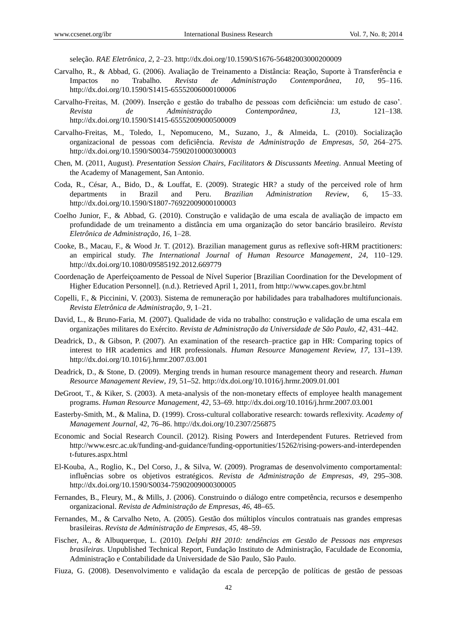seleção. *RAE Eletrônica*, *2*, 2–23. http://dx.doi.org/10.1590/S1676-56482003000200009

- Carvalho, R., & Abbad, G. (2006). Avaliação de Treinamento a Distância: Reação, Suporte à Transferência e Impactos no Trabalho. *Revista de Administração Contemporânea*, *10*, 95–116. http://dx.doi.org/10.1590/S1415-65552006000100006
- Carvalho-Freitas, M. (2009). Inserção e gestão do trabalho de pessoas com deficiência: um estudo de caso". *Revista de Administração Contemporânea*, *13*, 121–138. http://dx.doi.org/10.1590/S1415-65552009000500009
- Carvalho-Freitas, M., Toledo, I., Nepomuceno, M., Suzano, J., & Almeida, L. (2010). Socialização organizacional de pessoas com deficiência. *Revista de Administração de Empresas*, *50*, 264–275. http://dx.doi.org/10.1590/S0034-75902010000300003
- Chen, M. (2011, August). *Presentation Session Chairs, Facilitators & Discussants Meeting*. Annual Meeting of the Academy of Management, San Antonio.
- Coda, R., César, A., Bido, D., & Louffat, E. (2009). Strategic HR? a study of the perceived role of hrm departments in Brazil and Peru. *Brazilian Administration Review*, *6*, 15–33. http://dx.doi.org/10.1590/S1807-76922009000100003
- Coelho Junior, F., & Abbad, G. (2010). Construção e validação de uma escala de avaliação de impacto em profundidade de um treinamento a distância em uma organização do setor bancário brasileiro. *Revista Eletrônica de Administração*, *16*, 1–28.
- Cooke, B., Macau, F., & Wood Jr. T. (2012). Brazilian management gurus as reflexive soft-HRM practitioners: an empirical study. *The International Journal of Human Resource Management*, *24*, 110–129. http://dx.doi.org/10.1080/09585192.2012.669779
- Coordenação de Aperfei coamento de Pessoal de Nível Superior [Brazilian Coordination for the Development of Higher Education Personnel]. (n.d.). Retrieved April 1, 2011, from http://www.capes.gov.br.html
- Copelli, F., & Piccinini, V. (2003). Sistema de remuneração por habilidades para trabalhadores multifuncionais. *Revista Eletrônica de Administração*, *9*, 1–21.
- David, L., & Bruno-Faria, M. (2007). Qualidade de vida no trabalho: construção e validação de uma escala em organizações militares do Exército. *Revista de Administração da Universidade de São Paulo*, *42*, 431–442.
- Deadrick, D., & Gibson, P. (2007). An examination of the research–practice gap in HR: Comparing topics of interest to HR academics and HR professionals. *Human Resource Management Review, 17,* 131**–**139. http://dx.doi.org/10.1016/j.hrmr.2007.03.001
- Deadrick, D., & Stone, D. (2009). Merging trends in human resource management theory and research. *Human Resource Management Review*, *19*, 51**–**52. http://dx.doi.org/10.1016/j.hrmr.2009.01.001
- DeGroot, T., & Kiker, S. (2003). A meta-analysis of the non-monetary effects of employee health management programs. *Human Resource Management, 42*, 53**–**69. http://dx.doi.org/10.1016/j.hrmr.2007.03.001
- Easterby-Smith, M., & Malina, D. (1999). Cross-cultural collaborative research: towards reflexivity. *Academy of Management Journal*, *42*, 76**–**86. http://dx.doi.org/10.2307/256875
- Economic and Social Research Council. (2012). Rising Powers and Interdependent Futures. Retrieved from http://www.esrc.ac.uk/funding-and-guidance/funding-opportunities/15262/rising-powers-and-interdependen t-futures.aspx.html
- El-Kouba, A., Roglio, K., Del Corso, J., & Silva, W. (2009). Programas de desenvolvimento comportamental: influências sobre os objetivos estratégicos. *Revista de Administração de Empresas*, *49*, 295**–**308. http://dx.doi.org/10.1590/S0034-75902009000300005
- Fernandes, B., Fleury, M., & Mills, J. (2006). Construindo o diálogo entre competência, recursos e desempenho organizacional. *Revista de Administração de Empresas*, *46*, 48**–**65.
- Fernandes, M., & Carvalho Neto, A. (2005). Gestão dos múltiplos vínculos contratuais nas grandes empresas brasileiras. *Revista de Administração de Empresas*, *45*, 48**–**59.
- Fischer, A., & Albuquerque, L. (2010). *Delphi RH 2010: tendências em Gestão de Pessoas nas empresas brasileiras*. Unpublished Technical Report, Fundação Instituto de Administração, Faculdade de Economia, Administração e Contabilidade da Universidade de São Paulo, São Paulo.
- Fiuza, G. (2008). Desenvolvimento e validação da escala de percepção de políticas de gestão de pessoas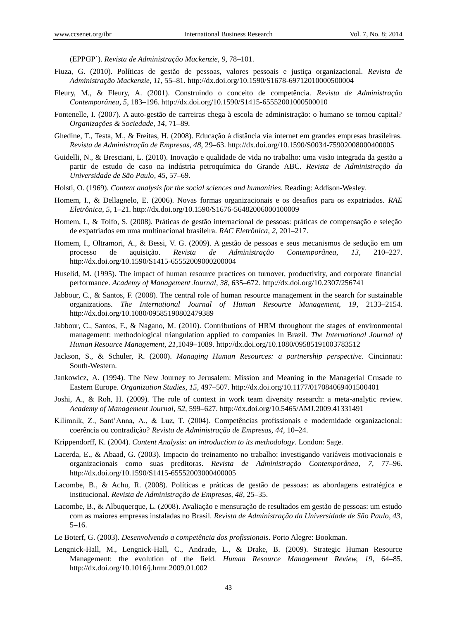(EPPGP"). *Revista de Administração Mackenzie*, *9*, 78**–**101.

- Fiuza, G. (2010). Políticas de gestão de pessoas, valores pessoais e justiça organizacional. *Revista de Administração Mackenzie*, *11*, 55**–**81. http://dx.doi.org/10.1590/S1678-69712010000500004
- Fleury, M., & Fleury, A. (2001). Construindo o conceito de competência. *Revista de Administração Contemporânea*, *5*, 183**–**196. http://dx.doi.org/10.1590/S1415-65552001000500010
- Fontenelle, I. (2007). A auto-gestão de carreiras chega à escola de administração: o humano se tornou capital? *Organizações & Sociedade, 14*, 71**–**89.
- Ghedine, T., Testa, M., & Freitas, H. (2008). Educação à distância via internet em grandes empresas brasileiras. *Revista de Administração de Empresas*, *48*, 29**–**63. http://dx.doi.org/10.1590/S0034-75902008000400005
- Guidelli, N., & Bresciani, L. (2010). Inovação e qualidade de vida no trabalho: uma visão integrada da gestão a partir de estudo de caso na indústria petroquímica do Grande ABC. *Revista de Administração da Universidade de São Paulo*, *45*, 57**–**69.
- Holsti, O. (1969). *Content analysis for the social sciences and humanities*. Reading: Addison-Wesley.
- Homem, I., & Dellagnelo, E. (2006). Novas formas organizacionais e os desafios para os expatriados. *RAE Eletrônica*, *5*, 1**–**21. http://dx.doi.org/10.1590/S1676-56482006000100009
- Homem, I., & Tolfo, S. (2008). Práticas de gestão internacional de pessoas: práticas de compensação e seleção de expatriados em uma multinacional brasileira. *RAC Eletrônica*, *2*, 201**–**217.
- Homem, I., Oltramori, A., & Bessi, V. G. (2009). A gestão de pessoas e seus mecanismos de sedução em um processo de aquisição. *Revista de Administração Contemporânea*, *13*, 210**–**227. http://dx.doi.org/10.1590/S1415-65552009000200004
- Huselid, M. (1995). The impact of human resource practices on turnover, productivity, and corporate financial performance. *Academy of Management Journal, 38*, 635**–**672. http://dx.doi.org/10.2307/256741
- Jabbour, C., & Santos, F. (2008). The central role of human resource management in the search for sustainable organizations. *The International Journal of Human Resource Management, 19*, 2133**–**2154. http://dx.doi.org/10.1080/09585190802479389
- Jabbour, C., Santos, F., & Nagano, M. (2010). Contributions of HRM throughout the stages of environmental management: methodological triangulation applied to companies in Brazil. *The International Journal of Human Resource Management*, *21*,1049**–**1089. http://dx.doi.org/10.1080/09585191003783512
- Jackson, S., & Schuler, R. (2000). *Managing Human Resources: a partnership perspective*. Cincinnati: South-Western.
- Jankowicz, A. (1994). The New Journey to Jerusalem: Mission and Meaning in the Managerial Crusade to Eastern Europe. *Organization Studies*, *15*, 497–507. http://dx.doi.org/10.1177/017084069401500401
- Joshi, A., & Roh, H. (2009). The role of context in work team diversity research: a meta-analytic review. *Academy of Management Journal, 52*, 599**–**627. http://dx.doi.org/10.5465/AMJ.2009.41331491
- Kilimnik, Z., Sant"Anna, A., & Luz, T. (2004). Competências profissionais e modernidade organizacional: coerência ou contradição? *Revista de Administração de Empresas, 44*, 10**–**24.
- Krippendorff, K. (2004). *Content Analysis: an introduction to its methodology*. London: Sage.
- Lacerda, E., & Abaad, G. (2003). Impacto do treinamento no trabalho: investigando variáveis motivacionais e organizacionais como suas preditoras. *Revista de Administração Contemporânea*, *7*, 77**–**96. http://dx.doi.org/10.1590/S1415-65552003000400005
- Lacombe, B., & Achu, R. (2008). Políticas e práticas de gestão de pessoas: as abordagens estratégica e institucional. *Revista de Administração de Empresas, 48*, 25**–**35.
- Lacombe, B., & Albuquerque, L. (2008). Avaliação e mensuração de resultados em gestão de pessoas: um estudo com as maiores empresas instaladas no Brasil. *Revista de Administração da Universidade de São Paulo, 43*, 5**–**16.
- Le Boterf, G. (2003). *Desenvolvendo a competência dos profissionais*. Porto Alegre: Bookman.
- Lengnick-Hall, M., Lengnick-Hall, C., Andrade, L., & Drake, B. (2009). Strategic Human Resource Management: the evolution of the field. *Human Resource Management Review, 19*, 64**–**85. http://dx.doi.org/10.1016/j.hrmr.2009.01.002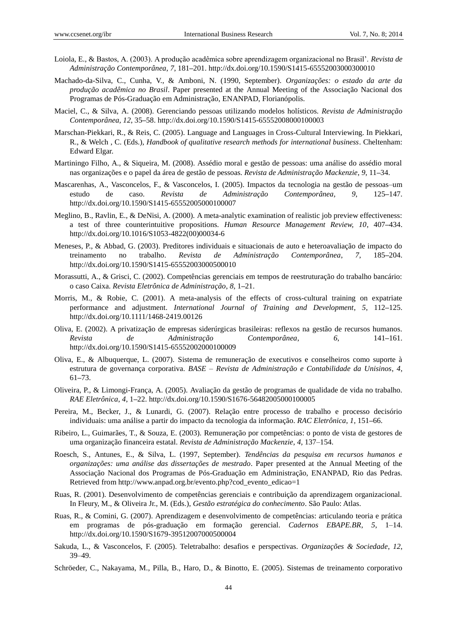- Loiola, E., & Bastos, A. (2003). A produção acadêmica sobre aprendizagem organizacional no Brasil". *Revista de Administração Contemporânea*, *7*, 181**–**201. http://dx.doi.org/10.1590/S1415-65552003000300010
- Machado-da-Silva, C., Cunha, V., & Amboni, N. (1990, September). *Organizações: o estado da arte da produção acadêmica no Brasil*. Paper presented at the Annual Meeting of the Associação Nacional dos Programas de Pós-Graduação em Administração, ENANPAD, Florianópolis.
- Maciel, C., & Silva, A. (2008). Gerenciando pessoas utilizando modelos holísticos. *Revista de Administração Contemporânea, 12*, 35**–**58. http://dx.doi.org/10.1590/S1415-65552008000100003
- Marschan-Piekkari, R., & Reis, C. (2005). Language and Languages in Cross-Cultural Interviewing. In Piekkari, R., & Welch , C. (Eds.), *Handbook of qualitative research methods for international business*. Cheltenham: Edward Elgar.
- Martiningo Filho, A., & Siqueira, M. (2008). Assédio moral e gestão de pessoas: uma análise do assédio moral nas organizações e o papel da área de gestão de pessoas. *Revista de Administração Mackenzie*, *9*, 11**–**34.
- Mascarenhas, A., Vasconcelos, F., & Vasconcelos, I. (2005). Impactos da tecnologia na gestão de pessoas–um estudo de caso. *Revista de Administração Contemporânea, 9*, 125**–**147. http://dx.doi.org/10.1590/S1415-65552005000100007
- Meglino, B., Ravlin, E., & DeNisi, A. (2000). A meta-analytic examination of realistic job preview effectiveness: a test of three counterintuitive propositions. *Human Resource Management Review, 10*, 407**–**434. http://dx.doi.org/10.1016/S1053-4822(00)00034-6
- Meneses, P., & Abbad, G. (2003). Preditores individuais e situacionais de auto e heteroavaliação de impacto do treinamento no trabalho. *Revista de Administração Contemporânea*, *7*, 185**–**204. http://dx.doi.org/10.1590/S1415-65552003000500010
- Morassutti, A., & Grisci, C. (2002). Competências gerenciais em tempos de reestruturação do trabalho bancário: o caso Caixa. *Revista Eletrônica de Administração*, *8*, 1**–**21.
- Morris, M., & Robie, C. (2001). A meta-analysis of the effects of cross-cultural training on expatriate performance and adjustment. *International Journal of Training and Development*, *5*, 112**–**125. http://dx.doi.org/10.1111/1468-2419.00126
- Oliva, E. (2002). A privatização de empresas siderúrgicas brasileiras: reflexos na gestão de recursos humanos. *Revista de Administração Contemporânea*, *6*, 141*–*161. http://dx.doi.org/10.1590/S1415-65552002000100009
- Oliva, E., & Albuquerque, L. (2007). Sistema de remuneração de executivos e conselheiros como suporte à estrutura de governança corporativa. *BASE* – *Revista de Administração e Contabilidade da Unisinos*, *4*, 61*–*73.
- Oliveira, P., & Limongi-França, A. (2005). Avaliação da gestão de programas de qualidade de vida no trabalho. *RAE Eletrônica*, *4*, 1*–*22. http://dx.doi.org/10.1590/S1676-56482005000100005
- Pereira, M., Becker, J., & Lunardi, G. (2007). Relação entre processo de trabalho e processo decisório individuais: uma análise a partir do impacto da tecnologia da informação. *RAC Eletrônica*, *1*, 151*–*66.
- Ribeiro, L., Guimarães, T., & Souza, E. (2003). Remuneração por competências: o ponto de vista de gestores de uma organização financeira estatal. *Revista de Administração Mackenzie*, *4*, 137–154.
- Roesch, S., Antunes, E., & Silva, L. (1997, September). *Tendências da pesquisa em recursos humanos e organizações: uma análise das dissertações de mestrado*. Paper presented at the Annual Meeting of the Associação Nacional dos Programas de Pós-Graduação em Administração, ENANPAD, Rio das Pedras. Retrieved from http://www.anpad.org.br/evento.php?cod\_evento\_edicao=1
- Ruas, R. (2001). Desenvolvimento de competências gerenciais e contribuição da aprendizagem organizacional. In Fleury, M., & Oliveira Jr., M. (Eds.), *Gestão estratégica do conhecimento*. São Paulo: Atlas.
- Ruas, R., & Comini, G. (2007). Aprendizagem e desenvolvimento de competências: articulando teoria e prática em programas de pós-graduação em formação gerencial. *Cadernos EBAPE.BR*, *5*, 1–14. http://dx.doi.org/10.1590/S1679-39512007000500004
- Sakuda, L., & Vasconcelos, F. (2005). Teletrabalho: desafios e perspectivas. *Organizações & Sociedade*, *12*, 39–49.
- Schröeder, C., Nakayama, M., Pilla, B., Haro, D., & Binotto, E. (2005). Sistemas de treinamento corporativo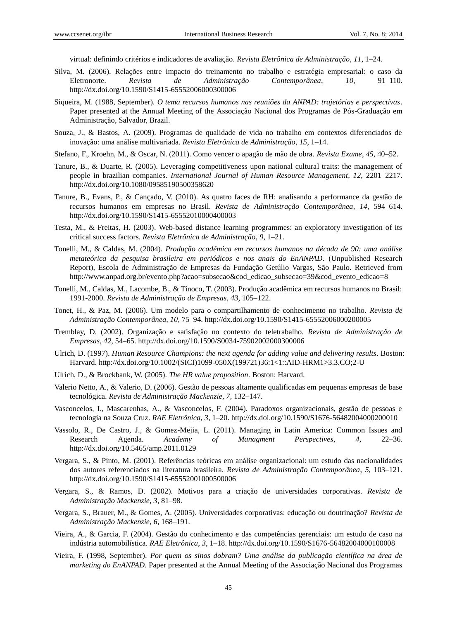virtual: definindo critérios e indicadores de avaliação. *Revista Eletrônica de Administração*, *11*, 1–24.

- Silva, M. (2006). Relações entre impacto do treinamento no trabalho e estratégia empresarial: o caso da Eletronorte. *Revista de Administração Contemporânea*, *10*, 91–110. http://dx.doi.org/10.1590/S1415-65552006000300006
- Siqueira, M. (1988, September). *O tema recursos humanos nas reuniões da ANPAD: trajetórias e perspectivas*. Paper presented at the Annual Meeting of the Associação Nacional dos Programas de Pós-Graduação em Administração, Salvador, Brazil.
- Souza, J., & Bastos, A. (2009). Programas de qualidade de vida no trabalho em contextos diferenciados de inovação: uma análise multivariada. *Revista Eletrônica de Administração*, *15*, 1–14.
- Stefano, F., Kroehn, M., & Oscar, N. (2011). Como vencer o apagão de mão de obra. *Revista Exame*, *45*, 40–52.
- Tanure, B., & Duarte, R. (2005). Leveraging competitiveness upon national cultural traits: the management of people in brazilian companies. *International Journal of Human Resource Management*, *12*, 2201–2217. http://dx.doi.org/10.1080/09585190500358620
- Tanure, B., Evans, P., & Cançado, V. (2010). As quatro faces de RH: analisando a performance da gestão de recursos humanos em empresas no Brasil. *Revista de Administração Contemporânea*, *14*, 594–614. http://dx.doi.org/10.1590/S1415-65552010000400003
- Testa, M., & Freitas, H. (2003). Web-based distance learning programmes: an exploratory investigation of its critical success factors. *Revista Eletrônica de Administração*, *9*, 1–21.
- Tonelli, M., & Caldas, M. (2004). *Produção acadêmica em recursos humanos na década de 90: uma análise metateórica da pesquisa brasileira em periódicos e nos anais do EnANPAD*. (Unpublished Research Report), Escola de Administração de Empresas da Fundação Getúlio Vargas, São Paulo. Retrieved from http://www.anpad.org.br/evento.php?acao=subsecao&cod\_edicao\_subsecao=39&cod\_evento\_edicao=8
- Tonelli, M., Caldas, M., Lacombe, B., & Tinoco, T. (2003). Produção acadêmica em recursos humanos no Brasil: 1991-2000. *Revista de Administração de Empresas*, *43*, 105–122.
- Tonet, H., & Paz, M. (2006). Um modelo para o compartilhamento de conhecimento no trabalho. *Revista de Administração Contemporânea, 10*, 75–94. http://dx.doi.org/10.1590/S1415-65552006000200005
- Tremblay, D. (2002). Organização e satisfação no contexto do teletrabalho. *Revista de Administração de Empresas*, *42*, 54–65. http://dx.doi.org/10.1590/S0034-75902002000300006
- Ulrich, D. (1997). *Human Resource Champions: the next agenda for adding value and delivering results*. Boston: Harvard. http://dx.doi.org/10.1002/(SICI)1099-050X(199721)36:1<1::AID-HRM1>3.3.CO;2-U
- Ulrich, D., & Brockbank, W. (2005). *The HR value proposition*. Boston: Harvard.
- Valerio Netto, A., & Valerio, D. (2006). Gestão de pessoas altamente qualificadas em pequenas empresas de base tecnológica. *Revista de Administração Mackenzie*, *7*, 132–147.
- Vasconcelos, I., Mascarenhas, A., & Vasconcelos, F. (2004). Paradoxos organizacionais, gestão de pessoas e tecnologia na Souza Cruz. *RAE Eletrônica, 3*, 1–20. http://dx.doi.org/10.1590/S1676-56482004000200010
- Vassolo, R., De Castro, J., & Gomez-Mejia, L. (2011). Managing in Latin America: Common Issues and Research Agenda. *Academy of Managment Perspectives*, *4*, 22–36. http://dx.doi.org/10.5465/amp.2011.0129
- Vergara, S., & Pinto, M. (2001). Referências teóricas em análise organizacional: um estudo das nacionalidades dos autores referenciados na literatura brasileira. *Revista de Administração Contemporânea*, *5*, 103–121. http://dx.doi.org/10.1590/S1415-65552001000500006
- Vergara, S., & Ramos, D. (2002). Motivos para a criação de universidades corporativas. *Revista de Administração Mackenzie, 3*, 81–98.
- Vergara, S*.,* Brauer, M., & Gomes, A. (2005). Universidades corporativas: educação ou doutrinação? *Revista de Administração Mackenzie*, *6*, 168–191.
- Vieira, A., & Garcia, F. (2004). Gestão do conhecimento e das competências gerenciais: um estudo de caso na indústria automobilística. *RAE Eletrônica, 3*, 1–18. http://dx.doi.org/10.1590/S1676-56482004000100008
- Vieira, F. (1998, September). *Por quem os sinos dobram? Uma análise da publicação científica na área de marketing do EnANPAD*. Paper presented at the Annual Meeting of the Associação Nacional dos Programas